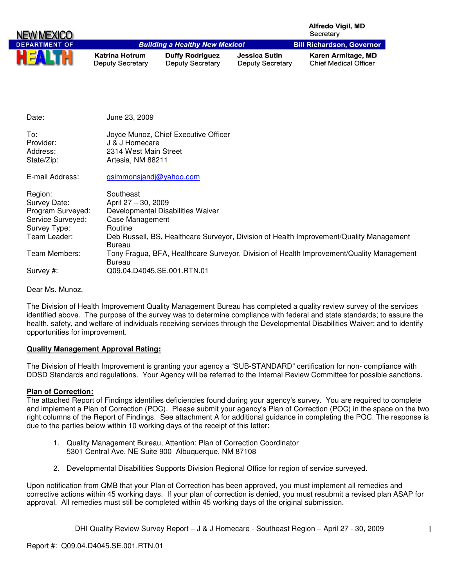|                                                                                                   |                                                                          |                                                   |                                                 | <b>Alfredo Vigil, MD</b><br>Secretary                                                    |
|---------------------------------------------------------------------------------------------------|--------------------------------------------------------------------------|---------------------------------------------------|-------------------------------------------------|------------------------------------------------------------------------------------------|
| <b>DEPARTMENT OF</b>                                                                              |                                                                          | <b>Building a Healthy New Mexico!</b>             |                                                 | <b>Bill Richardson, Governor</b>                                                         |
|                                                                                                   | <b>Katrina Hotrum</b><br><b>Deputy Secretary</b>                         | <b>Duffy Rodriguez</b><br><b>Deputy Secretary</b> | <b>Jessica Sutin</b><br><b>Deputy Secretary</b> | Karen Armitage, MD<br><b>Chief Medical Officer</b>                                       |
|                                                                                                   |                                                                          |                                                   |                                                 |                                                                                          |
|                                                                                                   |                                                                          |                                                   |                                                 |                                                                                          |
| Date:                                                                                             | June 23, 2009                                                            |                                                   |                                                 |                                                                                          |
| To:<br>Provider:<br>Address:<br>State/Zip:                                                        | J & J Homecare<br>2314 West Main Street<br>Artesia, NM 88211             | Joyce Munoz, Chief Executive Officer              |                                                 |                                                                                          |
| E-mail Address:                                                                                   | gsimmonsjandj@yahoo.com                                                  |                                                   |                                                 |                                                                                          |
| Region:<br>Survey Date:<br>Program Surveyed:<br>Service Surveyed:<br>Survey Type:<br>Team Leader: | Southeast<br>April 27 - 30, 2009<br>Case Management<br>Routine<br>Bureau | Developmental Disabilities Waiver                 |                                                 | Deb Russell, BS, Healthcare Surveyor, Division of Health Improvement/Quality Management  |
| Team Members:                                                                                     | <b>Bureau</b>                                                            |                                                   |                                                 | Tony Fragua, BFA, Healthcare Surveyor, Division of Health Improvement/Quality Management |
| Survey #:                                                                                         |                                                                          | Q09.04.D4045.SE.001.RTN.01                        |                                                 |                                                                                          |
| Dear Ms. Munoz                                                                                    |                                                                          |                                                   |                                                 |                                                                                          |

The Division of Health Improvement Quality Management Bureau has completed a quality review survey of the services identified above. The purpose of the survey was to determine compliance with federal and state standards; to assure the health, safety, and welfare of individuals receiving services through the Developmental Disabilities Waiver; and to identify opportunities for improvement.

## **Quality Management Approval Rating:**

The Division of Health Improvement is granting your agency a "SUB-STANDARD" certification for non- compliance with DDSD Standards and regulations. Your Agency will be referred to the Internal Review Committee for possible sanctions.

### **Plan of Correction:**

The attached Report of Findings identifies deficiencies found during your agency's survey. You are required to complete and implement a Plan of Correction (POC). Please submit your agency's Plan of Correction (POC) in the space on the two right columns of the Report of Findings. See attachment A for additional guidance in completing the POC. The response is due to the parties below within 10 working days of the receipt of this letter:

- 1. Quality Management Bureau, Attention: Plan of Correction Coordinator 5301 Central Ave. NE Suite 900 Albuquerque, NM 87108
- 2. Developmental Disabilities Supports Division Regional Office for region of service surveyed.

Upon notification from QMB that your Plan of Correction has been approved, you must implement all remedies and corrective actions within 45 working days. If your plan of correction is denied, you must resubmit a revised plan ASAP for approval. All remedies must still be completed within 45 working days of the original submission.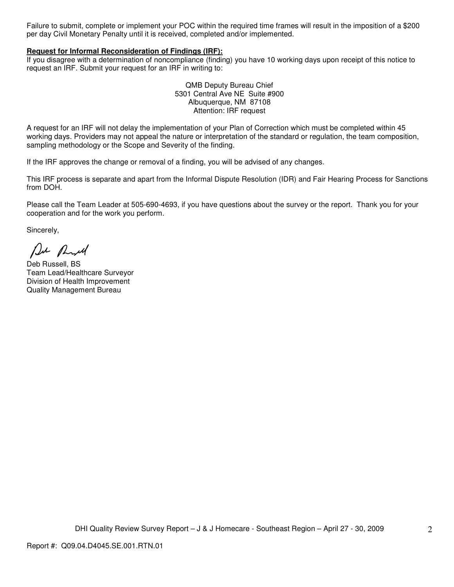Failure to submit, complete or implement your POC within the required time frames will result in the imposition of a \$200 per day Civil Monetary Penalty until it is received, completed and/or implemented.

### **Request for Informal Reconsideration of Findings (IRF):**

If you disagree with a determination of noncompliance (finding) you have 10 working days upon receipt of this notice to request an IRF. Submit your request for an IRF in writing to:

> QMB Deputy Bureau Chief 5301 Central Ave NE Suite #900 Albuquerque, NM 87108 Attention: IRF request

A request for an IRF will not delay the implementation of your Plan of Correction which must be completed within 45 working days. Providers may not appeal the nature or interpretation of the standard or regulation, the team composition, sampling methodology or the Scope and Severity of the finding.

If the IRF approves the change or removal of a finding, you will be advised of any changes.

This IRF process is separate and apart from the Informal Dispute Resolution (IDR) and Fair Hearing Process for Sanctions from DOH.

Please call the Team Leader at 505-690-4693, if you have questions about the survey or the report. Thank you for your cooperation and for the work you perform.

Sincerely,

De Ruel

Deb Russell, BS Team Lead/Healthcare Surveyor Division of Health Improvement Quality Management Bureau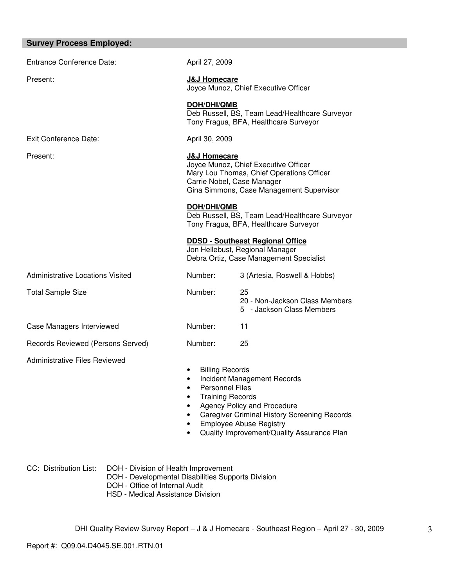| <b>Survey Process Employed:</b>         |                                                                                                                                                                                        |                                                                                                                                                                                                          |
|-----------------------------------------|----------------------------------------------------------------------------------------------------------------------------------------------------------------------------------------|----------------------------------------------------------------------------------------------------------------------------------------------------------------------------------------------------------|
| <b>Entrance Conference Date:</b>        | April 27, 2009                                                                                                                                                                         |                                                                                                                                                                                                          |
| Present:                                | <b>J&amp;J Homecare</b>                                                                                                                                                                | Joyce Munoz, Chief Executive Officer                                                                                                                                                                     |
|                                         | <b>DOH/DHI/QMB</b>                                                                                                                                                                     | Deb Russell, BS, Team Lead/Healthcare Surveyor<br>Tony Fragua, BFA, Healthcare Surveyor                                                                                                                  |
| Exit Conference Date:                   | April 30, 2009                                                                                                                                                                         |                                                                                                                                                                                                          |
| Present:                                | <b>J&amp;J Homecare</b><br>Joyce Munoz, Chief Executive Officer<br>Mary Lou Thomas, Chief Operations Officer<br>Carrie Nobel, Case Manager<br>Gina Simmons, Case Management Supervisor |                                                                                                                                                                                                          |
|                                         | DOH/DHI/QMB                                                                                                                                                                            | Deb Russell, BS, Team Lead/Healthcare Surveyor<br>Tony Fragua, BFA, Healthcare Surveyor                                                                                                                  |
|                                         |                                                                                                                                                                                        | <b>DDSD - Southeast Regional Office</b><br>Jon Hellebust, Regional Manager<br>Debra Ortiz, Case Management Specialist                                                                                    |
| <b>Administrative Locations Visited</b> | Number:                                                                                                                                                                                | 3 (Artesia, Roswell & Hobbs)                                                                                                                                                                             |
| <b>Total Sample Size</b>                | Number:                                                                                                                                                                                | 25<br>20 - Non-Jackson Class Members<br>5 - Jackson Class Members                                                                                                                                        |
| Case Managers Interviewed               | Number:                                                                                                                                                                                | 11                                                                                                                                                                                                       |
| Records Reviewed (Persons Served)       | Number:                                                                                                                                                                                | 25                                                                                                                                                                                                       |
| <b>Administrative Files Reviewed</b>    | <b>Billing Records</b><br><b>Personnel Files</b><br><b>Training Records</b>                                                                                                            | Incident Management Records<br><b>Agency Policy and Procedure</b><br><b>Caregiver Criminal History Screening Records</b><br><b>Employee Abuse Registry</b><br>Quality Improvement/Quality Assurance Plan |

CC: Distribution List: DOH - Division of Health Improvement DOH - Developmental Disabilities Supports Division

- DOH Office of Internal Audit
	- HSD Medical Assistance Division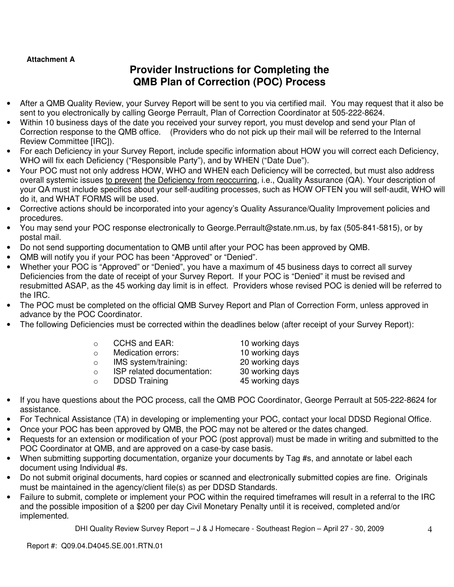# **Attachment A**

# **Provider Instructions for Completing the QMB Plan of Correction (POC) Process**

- After a QMB Quality Review, your Survey Report will be sent to you via certified mail. You may request that it also be sent to you electronically by calling George Perrault, Plan of Correction Coordinator at 505-222-8624.
- Within 10 business days of the date you received your survey report, you must develop and send your Plan of Correction response to the QMB office. (Providers who do not pick up their mail will be referred to the Internal Review Committee [IRC]).
- For each Deficiency in your Survey Report, include specific information about HOW you will correct each Deficiency, WHO will fix each Deficiency ("Responsible Party"), and by WHEN ("Date Due").
- Your POC must not only address HOW, WHO and WHEN each Deficiency will be corrected, but must also address overall systemic issues to prevent the Deficiency from reoccurring, i.e., Quality Assurance (QA). Your description of your QA must include specifics about your self-auditing processes, such as HOW OFTEN you will self-audit, WHO will do it, and WHAT FORMS will be used.
- Corrective actions should be incorporated into your agency's Quality Assurance/Quality Improvement policies and procedures.
- You may send your POC response electronically to George.Perrault@state.nm.us, by fax (505-841-5815), or by postal mail.
- Do not send supporting documentation to QMB until after your POC has been approved by QMB.
- QMB will notify you if your POC has been "Approved" or "Denied".
- Whether your POC is "Approved" or "Denied", you have a maximum of 45 business days to correct all survey Deficiencies from the date of receipt of your Survey Report. If your POC is "Denied" it must be revised and resubmitted ASAP, as the 45 working day limit is in effect. Providers whose revised POC is denied will be referred to the IRC.
- The POC must be completed on the official QMB Survey Report and Plan of Correction Form, unless approved in advance by the POC Coordinator.
- The following Deficiencies must be corrected within the deadlines below (after receipt of your Survey Report):

| <b>CCHS and EAR:</b><br>⊃ |  |
|---------------------------|--|
|---------------------------|--|

- o Medication errors: 10 working days
- o IMS system/training: 20 working days
- o ISP related documentation: 30 working days
- o DDSD Training 45 working days

10 working days

- If you have questions about the POC process, call the QMB POC Coordinator, George Perrault at 505-222-8624 for assistance.
- For Technical Assistance (TA) in developing or implementing your POC, contact your local DDSD Regional Office.
- Once your POC has been approved by QMB, the POC may not be altered or the dates changed.
- Requests for an extension or modification of your POC (post approval) must be made in writing and submitted to the POC Coordinator at QMB, and are approved on a case-by case basis.
- When submitting supporting documentation, organize your documents by Tag #s, and annotate or label each document using Individual #s.
- Do not submit original documents, hard copies or scanned and electronically submitted copies are fine. Originals must be maintained in the agency/client file(s) as per DDSD Standards.
- Failure to submit, complete or implement your POC within the required timeframes will result in a referral to the IRC and the possible imposition of a \$200 per day Civil Monetary Penalty until it is received, completed and/or implemented.

DHI Quality Review Survey Report – J & J Homecare - Southeast Region – April 27 - 30, 2009

Report #: Q09.04.D4045.SE.001.RTN.01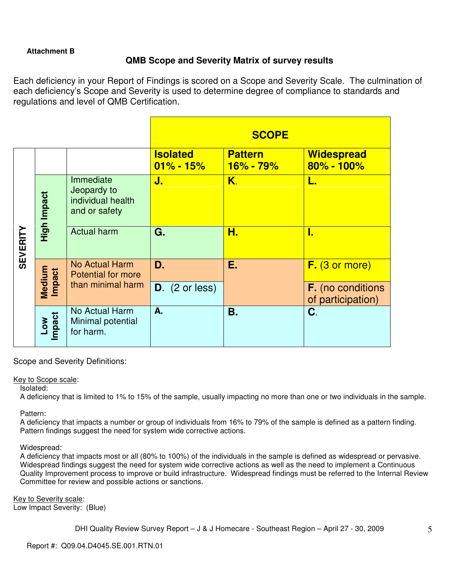# **Attachment B**

# **QMB Scope and Severity Matrix of survey results**

Each deficiency in your Report of Findings is scored on a Scope and Severity Scale. The culmination of each deficiency's Scope and Severity is used to determine degree of compliance to standards and regulations and level of QMB Certification.

|                 |                             |                                                                |                                  | <b>SCOPE</b>                    |                                               |
|-----------------|-----------------------------|----------------------------------------------------------------|----------------------------------|---------------------------------|-----------------------------------------------|
|                 |                             |                                                                | <b>Isolated</b><br>$01\% - 15\%$ | <b>Pattern</b><br>$16\% - 79\%$ | <b>Widespread</b><br>$80\% - 100\%$           |
|                 | High Impact                 | Immediate<br>Jeopardy to<br>individual health<br>and or safety | J.                               | Κ.                              | L.                                            |
| <b>SEVERITY</b> |                             | <b>Actual harm</b>                                             | G.                               | Н.                              | I.                                            |
|                 |                             | <b>No Actual Harm</b><br><b>Potential for more</b>             | D.                               | Ε.                              | $F.$ (3 or more)                              |
|                 | Medium<br>Impact            | than minimal harm                                              | $D.$ (2 or less)                 |                                 | <b>F.</b> (no conditions<br>of participation) |
|                 | <b>Impact</b><br><b>NOT</b> | No Actual Harm<br>Minimal potential<br>for harm.               | A.                               | <b>B.</b>                       | C.                                            |

Scope and Severity Definitions:

## Key to Scope scale:

Isolated:

A deficiency that is limited to 1% to 15% of the sample, usually impacting no more than one or two individuals in the sample.

Pattern:

A deficiency that impacts a number or group of individuals from 16% to 79% of the sample is defined as a pattern finding. Pattern findings suggest the need for system wide corrective actions.

Widespread:

A deficiency that impacts most or all (80% to 100%) of the individuals in the sample is defined as widespread or pervasive. Widespread findings suggest the need for system wide corrective actions as well as the need to implement a Continuous Quality Improvement process to improve or build infrastructure. Widespread findings must be referred to the Internal Review Committee for review and possible actions or sanctions.

Key to Severity scale: Low Impact Severity: (Blue)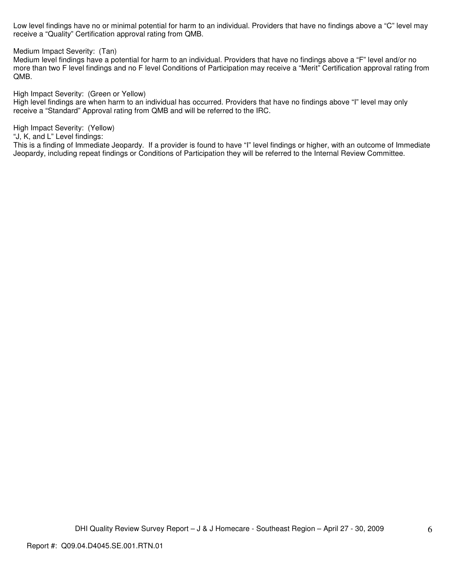Low level findings have no or minimal potential for harm to an individual. Providers that have no findings above a "C" level may receive a "Quality" Certification approval rating from QMB.

Medium Impact Severity: (Tan)

Medium level findings have a potential for harm to an individual. Providers that have no findings above a "F" level and/or no more than two F level findings and no F level Conditions of Participation may receive a "Merit" Certification approval rating from QMB.

High Impact Severity: (Green or Yellow)

High level findings are when harm to an individual has occurred. Providers that have no findings above "I" level may only receive a "Standard" Approval rating from QMB and will be referred to the IRC.

High Impact Severity: (Yellow)

"J, K, and L" Level findings:

This is a finding of Immediate Jeopardy. If a provider is found to have "I" level findings or higher, with an outcome of Immediate Jeopardy, including repeat findings or Conditions of Participation they will be referred to the Internal Review Committee.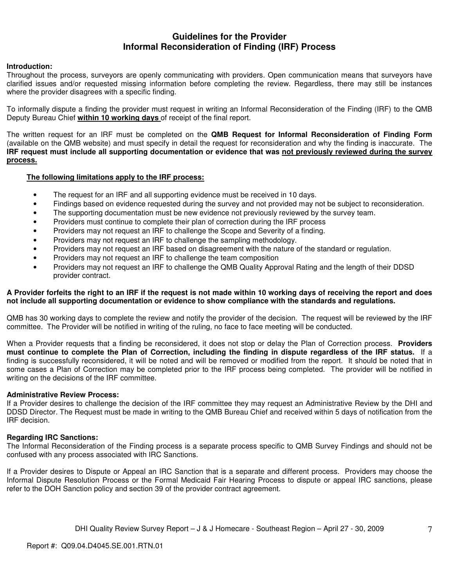# **Guidelines for the Provider Informal Reconsideration of Finding (IRF) Process**

### **Introduction:**

Throughout the process, surveyors are openly communicating with providers. Open communication means that surveyors have clarified issues and/or requested missing information before completing the review. Regardless, there may still be instances where the provider disagrees with a specific finding.

To informally dispute a finding the provider must request in writing an Informal Reconsideration of the Finding (IRF) to the QMB Deputy Bureau Chief **within 10 working days** of receipt of the final report.

The written request for an IRF must be completed on the **QMB Request for Informal Reconsideration of Finding Form** (available on the QMB website) and must specify in detail the request for reconsideration and why the finding is inaccurate. The **IRF request must include all supporting documentation or evidence that was not previously reviewed during the survey process.** 

### **The following limitations apply to the IRF process:**

- The request for an IRF and all supporting evidence must be received in 10 days.
- Findings based on evidence requested during the survey and not provided may not be subject to reconsideration.
- The supporting documentation must be new evidence not previously reviewed by the survey team.
- Providers must continue to complete their plan of correction during the IRF process
- Providers may not request an IRF to challenge the Scope and Severity of a finding.
- Providers may not request an IRF to challenge the sampling methodology.
- Providers may not request an IRF based on disagreement with the nature of the standard or regulation.
- Providers may not request an IRF to challenge the team composition
- Providers may not request an IRF to challenge the QMB Quality Approval Rating and the length of their DDSD provider contract.

### **A Provider forfeits the right to an IRF if the request is not made within 10 working days of receiving the report and does not include all supporting documentation or evidence to show compliance with the standards and regulations.**

QMB has 30 working days to complete the review and notify the provider of the decision. The request will be reviewed by the IRF committee. The Provider will be notified in writing of the ruling, no face to face meeting will be conducted.

When a Provider requests that a finding be reconsidered, it does not stop or delay the Plan of Correction process. **Providers must continue to complete the Plan of Correction, including the finding in dispute regardless of the IRF status.** If a finding is successfully reconsidered, it will be noted and will be removed or modified from the report. It should be noted that in some cases a Plan of Correction may be completed prior to the IRF process being completed. The provider will be notified in writing on the decisions of the IRF committee.

### **Administrative Review Process:**

If a Provider desires to challenge the decision of the IRF committee they may request an Administrative Review by the DHI and DDSD Director. The Request must be made in writing to the QMB Bureau Chief and received within 5 days of notification from the IRF decision.

### **Regarding IRC Sanctions:**

The Informal Reconsideration of the Finding process is a separate process specific to QMB Survey Findings and should not be confused with any process associated with IRC Sanctions.

If a Provider desires to Dispute or Appeal an IRC Sanction that is a separate and different process. Providers may choose the Informal Dispute Resolution Process or the Formal Medicaid Fair Hearing Process to dispute or appeal IRC sanctions, please refer to the DOH Sanction policy and section 39 of the provider contract agreement.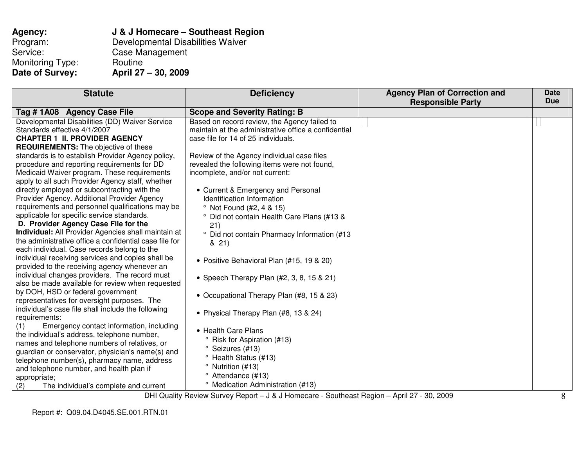| Agency:                | J & J Homecare - S        |
|------------------------|---------------------------|
| Program:               | <b>Developmental Disa</b> |
| Service:               | Case Management           |
| Monitoring Type:       | Routine                   |
| <b>Date of Survey:</b> | April 27 - 30, 2009       |

**Agency: J & J Homecare – Southeast Region**<br>Program: Developmental Disabilities Waiver Aanagement

| <b>Statute</b>                                         | <b>Deficiency</b>                                      | <b>Agency Plan of Correction and</b><br><b>Responsible Party</b> | <b>Date</b><br><b>Due</b> |
|--------------------------------------------------------|--------------------------------------------------------|------------------------------------------------------------------|---------------------------|
| Tag #1A08 Agency Case File                             | <b>Scope and Severity Rating: B</b>                    |                                                                  |                           |
| Developmental Disabilities (DD) Waiver Service         | Based on record review, the Agency failed to           |                                                                  |                           |
| Standards effective 4/1/2007                           | maintain at the administrative office a confidential   |                                                                  |                           |
| <b>CHAPTER 1 II. PROVIDER AGENCY</b>                   | case file for 14 of 25 individuals.                    |                                                                  |                           |
| <b>REQUIREMENTS:</b> The objective of these            |                                                        |                                                                  |                           |
| standards is to establish Provider Agency policy,      | Review of the Agency individual case files             |                                                                  |                           |
| procedure and reporting requirements for DD            | revealed the following items were not found,           |                                                                  |                           |
| Medicaid Waiver program. These requirements            | incomplete, and/or not current:                        |                                                                  |                           |
| apply to all such Provider Agency staff, whether       |                                                        |                                                                  |                           |
| directly employed or subcontracting with the           | • Current & Emergency and Personal                     |                                                                  |                           |
| Provider Agency. Additional Provider Agency            | Identification Information                             |                                                                  |                           |
| requirements and personnel qualifications may be       | <sup>o</sup> Not Found (#2, 4 & 15)                    |                                                                  |                           |
| applicable for specific service standards.             | ° Did not contain Health Care Plans (#13 &             |                                                                  |                           |
| D. Provider Agency Case File for the                   | 21)                                                    |                                                                  |                           |
| Individual: All Provider Agencies shall maintain at    | <sup>o</sup> Did not contain Pharmacy Information (#13 |                                                                  |                           |
| the administrative office a confidential case file for | 8, 21)                                                 |                                                                  |                           |
| each individual. Case records belong to the            |                                                        |                                                                  |                           |
| individual receiving services and copies shall be      | • Positive Behavioral Plan (#15, 19 & 20)              |                                                                  |                           |
| provided to the receiving agency whenever an           |                                                        |                                                                  |                           |
| individual changes providers. The record must          | • Speech Therapy Plan $(#2, 3, 8, 15 \& 21)$           |                                                                  |                           |
| also be made available for review when requested       |                                                        |                                                                  |                           |
| by DOH, HSD or federal government                      | • Occupational Therapy Plan (#8, 15 & 23)              |                                                                  |                           |
| representatives for oversight purposes. The            |                                                        |                                                                  |                           |
| individual's case file shall include the following     | • Physical Therapy Plan (#8, 13 & 24)                  |                                                                  |                           |
| requirements:                                          |                                                        |                                                                  |                           |
| Emergency contact information, including<br>(1)        | • Health Care Plans                                    |                                                                  |                           |
| the individual's address, telephone number,            | <sup>o</sup> Risk for Aspiration (#13)                 |                                                                  |                           |
| names and telephone numbers of relatives, or           | ° Seizures (#13)                                       |                                                                  |                           |
| guardian or conservator, physician's name(s) and       | <sup>o</sup> Health Status (#13)                       |                                                                  |                           |
| telephone number(s), pharmacy name, address            |                                                        |                                                                  |                           |
| and telephone number, and health plan if               | <sup>o</sup> Nutrition (#13)                           |                                                                  |                           |
| appropriate;                                           | <sup>o</sup> Attendance (#13)                          |                                                                  |                           |
| The individual's complete and current<br>(2)           | <sup>o</sup> Medication Administration (#13)           |                                                                  |                           |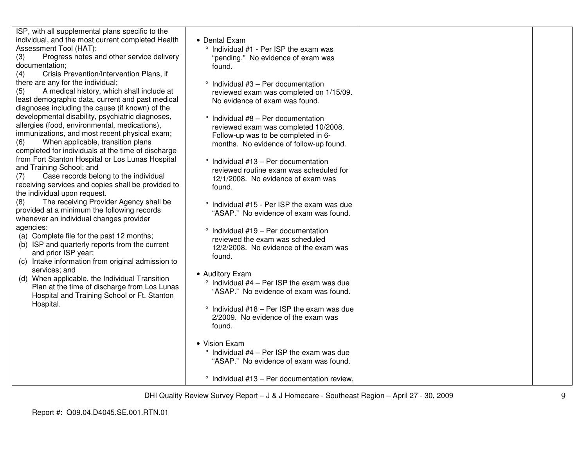ISP, with all supplemental plans specific to the individual, and the most current completed Health Assessment Tool (HAT);

 (3) Progress notes and other service delivery documentation;

 (4) Crisis Prevention/Intervention Plans, if there are any for the individual;

 (5) A medical history, which shall include at least demographic data, current and past medical diagnoses including the cause (if known) of the developmental disability, psychiatric diagnoses, allergies (food, environmental, medications), immunizations, and most recent physical exam;

(6) When applicable, transition plans completed for individuals at the time of discharge from Fort Stanton Hospital or Los Lunas Hospital and Training School; and

 (7) Case records belong to the individual receiving services and copies shall be provided to the individual upon request.

 (8) The receiving Provider Agency shall be provided at a minimum the following records whenever an individual changes provider agencies:

- (a) Complete file for the past 12 months;
- (b) ISP and quarterly reports from the current and prior ISP year;
- (c) Intake information from original admission to services; and
- (d) When applicable, the Individual Transition Plan at the time of discharge from Los Lunas Hospital and Training School or Ft. Stanton Hospital.

• Dental Exam

- ° Individual #1 Per ISP the exam was "pending." No evidence of exam was found.
- ° Individual #3 Per documentation reviewed exam was completed on 1/15/09. No evidence of exam was found.
- ° Individual #8 Per documentation reviewed exam was completed 10/2008. Follow-up was to be completed in 6 months. No evidence of follow-up found.
- ° Individual #13 Per documentation reviewed routine exam was scheduled for 12/1/2008. No evidence of exam was found.
- ° Individual #15 Per ISP the exam was due "ASAP." No evidence of exam was found.
- ° Individual #19 Per documentation reviewed the exam was scheduled 12/2/2008. No evidence of the exam was found.
- Auditory Exam
	- $\degree$  Individual #4 Per ISP the exam was due "ASAP." No evidence of exam was found.
	- ° Individual #18 Per ISP the exam was due 2/2009. No evidence of the exam was found.
- Vision Exam
	- ° Individual #4 Per ISP the exam was due "ASAP." No evidence of exam was found.

° Individual #13 – Per documentation review,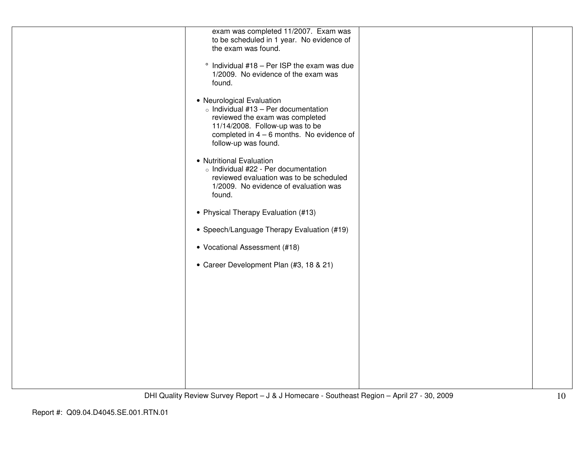| exam was completed 11/2007. Exam was<br>to be scheduled in 1 year. No evidence of<br>the exam was found.                                                                                                             |  |
|----------------------------------------------------------------------------------------------------------------------------------------------------------------------------------------------------------------------|--|
| $\degree$ Individual #18 - Per ISP the exam was due<br>1/2009. No evidence of the exam was<br>found.                                                                                                                 |  |
| • Neurological Evaluation<br>$\circ$ Individual #13 - Per documentation<br>reviewed the exam was completed<br>11/14/2008. Follow-up was to be<br>completed in $4 - 6$ months. No evidence of<br>follow-up was found. |  |
| • Nutritional Evaluation<br>o Individual #22 - Per documentation<br>reviewed evaluation was to be scheduled<br>1/2009. No evidence of evaluation was<br>found.                                                       |  |
| • Physical Therapy Evaluation (#13)                                                                                                                                                                                  |  |
| • Speech/Language Therapy Evaluation (#19)                                                                                                                                                                           |  |
| • Vocational Assessment (#18)                                                                                                                                                                                        |  |
| • Career Development Plan (#3, 18 & 21)                                                                                                                                                                              |  |
|                                                                                                                                                                                                                      |  |
|                                                                                                                                                                                                                      |  |
|                                                                                                                                                                                                                      |  |
|                                                                                                                                                                                                                      |  |
|                                                                                                                                                                                                                      |  |
|                                                                                                                                                                                                                      |  |
|                                                                                                                                                                                                                      |  |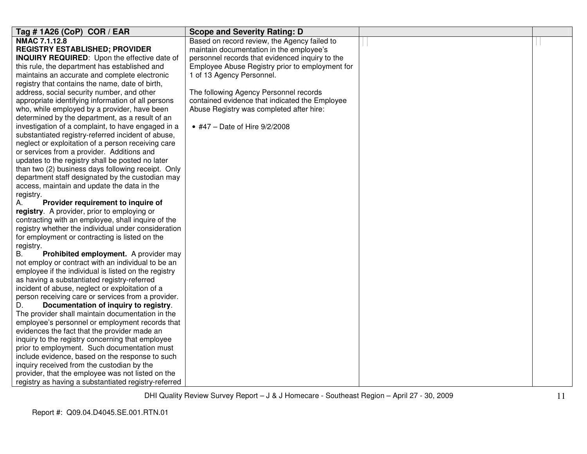| Tag #1A26 (CoP) COR / EAR                            | <b>Scope and Severity Rating: D</b>             |  |
|------------------------------------------------------|-------------------------------------------------|--|
| NMAC 7.1.12.8                                        | Based on record review, the Agency failed to    |  |
| <b>REGISTRY ESTABLISHED; PROVIDER</b>                | maintain documentation in the employee's        |  |
| <b>INQUIRY REQUIRED:</b> Upon the effective date of  | personnel records that evidenced inquiry to the |  |
| this rule, the department has established and        | Employee Abuse Registry prior to employment for |  |
| maintains an accurate and complete electronic        | 1 of 13 Agency Personnel.                       |  |
| registry that contains the name, date of birth,      |                                                 |  |
| address, social security number, and other           | The following Agency Personnel records          |  |
| appropriate identifying information of all persons   | contained evidence that indicated the Employee  |  |
| who, while employed by a provider, have been         | Abuse Registry was completed after hire:        |  |
| determined by the department, as a result of an      |                                                 |  |
| investigation of a complaint, to have engaged in a   | • #47 - Date of Hire 9/2/2008                   |  |
| substantiated registry-referred incident of abuse,   |                                                 |  |
| neglect or exploitation of a person receiving care   |                                                 |  |
| or services from a provider. Additions and           |                                                 |  |
| updates to the registry shall be posted no later     |                                                 |  |
| than two (2) business days following receipt. Only   |                                                 |  |
| department staff designated by the custodian may     |                                                 |  |
| access, maintain and update the data in the          |                                                 |  |
| registry.                                            |                                                 |  |
| Provider requirement to inquire of<br>А.             |                                                 |  |
| registry. A provider, prior to employing or          |                                                 |  |
| contracting with an employee, shall inquire of the   |                                                 |  |
| registry whether the individual under consideration  |                                                 |  |
| for employment or contracting is listed on the       |                                                 |  |
| registry.                                            |                                                 |  |
| Prohibited employment. A provider may<br>В.          |                                                 |  |
| not employ or contract with an individual to be an   |                                                 |  |
| employee if the individual is listed on the registry |                                                 |  |
| as having a substantiated registry-referred          |                                                 |  |
| incident of abuse, neglect or exploitation of a      |                                                 |  |
| person receiving care or services from a provider.   |                                                 |  |
| Documentation of inquiry to registry.<br>D.          |                                                 |  |
| The provider shall maintain documentation in the     |                                                 |  |
| employee's personnel or employment records that      |                                                 |  |
| evidences the fact that the provider made an         |                                                 |  |
| inquiry to the registry concerning that employee     |                                                 |  |
| prior to employment. Such documentation must         |                                                 |  |
| include evidence, based on the response to such      |                                                 |  |
| inquiry received from the custodian by the           |                                                 |  |
| provider, that the employee was not listed on the    |                                                 |  |
| registry as having a substantiated registry-referred |                                                 |  |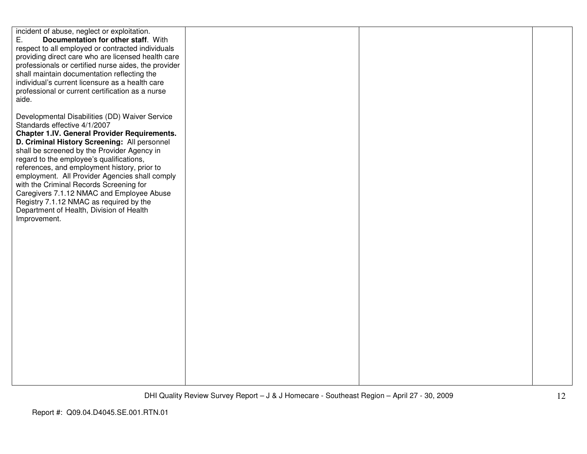| incident of abuse, neglect or exploitation.<br>Ε.<br>Documentation for other staff. With<br>respect to all employed or contracted individuals<br>providing direct care who are licensed health care<br>professionals or certified nurse aides, the provider<br>shall maintain documentation reflecting the<br>individual's current licensure as a health care<br>professional or current certification as a nurse<br>aide.                                                                                                                                                        |  |  |
|-----------------------------------------------------------------------------------------------------------------------------------------------------------------------------------------------------------------------------------------------------------------------------------------------------------------------------------------------------------------------------------------------------------------------------------------------------------------------------------------------------------------------------------------------------------------------------------|--|--|
| Developmental Disabilities (DD) Waiver Service<br>Standards effective 4/1/2007<br><b>Chapter 1.IV. General Provider Requirements.</b><br>D. Criminal History Screening: All personnel<br>shall be screened by the Provider Agency in<br>regard to the employee's qualifications,<br>references, and employment history, prior to<br>employment. All Provider Agencies shall comply<br>with the Criminal Records Screening for<br>Caregivers 7.1.12 NMAC and Employee Abuse<br>Registry 7.1.12 NMAC as required by the<br>Department of Health, Division of Health<br>Improvement. |  |  |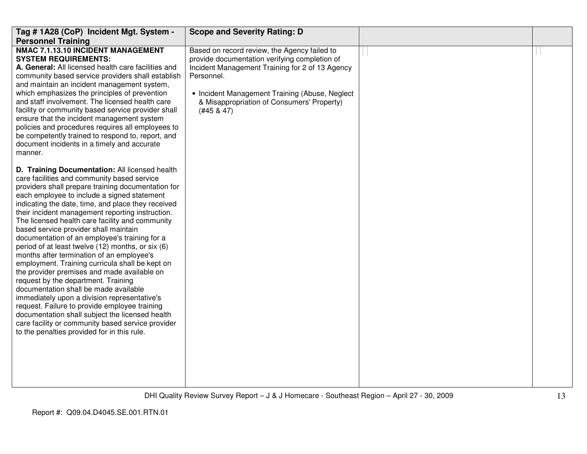| Tag # 1A28 (CoP) Incident Mgt. System -                                                                                                                                                                                                                                                                                                                                                                                                                                                                                                                                                                                                                                                                                                                                                                                                                                                                                                             | <b>Scope and Severity Rating: D</b>                                                                                                                                                                                                                                             |  |
|-----------------------------------------------------------------------------------------------------------------------------------------------------------------------------------------------------------------------------------------------------------------------------------------------------------------------------------------------------------------------------------------------------------------------------------------------------------------------------------------------------------------------------------------------------------------------------------------------------------------------------------------------------------------------------------------------------------------------------------------------------------------------------------------------------------------------------------------------------------------------------------------------------------------------------------------------------|---------------------------------------------------------------------------------------------------------------------------------------------------------------------------------------------------------------------------------------------------------------------------------|--|
| <b>Personnel Training</b><br>NMAC 7.1.13.10 INCIDENT MANAGEMENT<br><b>SYSTEM REQUIREMENTS:</b><br>A. General: All licensed health care facilities and<br>community based service providers shall establish<br>and maintain an incident management system,<br>which emphasizes the principles of prevention<br>and staff involvement. The licensed health care<br>facility or community based service provider shall<br>ensure that the incident management system<br>policies and procedures requires all employees to<br>be competently trained to respond to, report, and<br>document incidents in a timely and accurate<br>manner.<br>D. Training Documentation: All licensed health                                                                                                                                                                                                                                                             | Based on record review, the Agency failed to<br>provide documentation verifying completion of<br>Incident Management Training for 2 of 13 Agency<br>Personnel.<br>• Incident Management Training (Abuse, Neglect<br>& Misappropriation of Consumers' Property)<br>$(#45 \& 47)$ |  |
| care facilities and community based service<br>providers shall prepare training documentation for<br>each employee to include a signed statement<br>indicating the date, time, and place they received<br>their incident management reporting instruction.<br>The licensed health care facility and community<br>based service provider shall maintain<br>documentation of an employee's training for a<br>period of at least twelve (12) months, or six (6)<br>months after termination of an employee's<br>employment. Training curricula shall be kept on<br>the provider premises and made available on<br>request by the department. Training<br>documentation shall be made available<br>immediately upon a division representative's<br>request. Failure to provide employee training<br>documentation shall subject the licensed health<br>care facility or community based service provider<br>to the penalties provided for in this rule. |                                                                                                                                                                                                                                                                                 |  |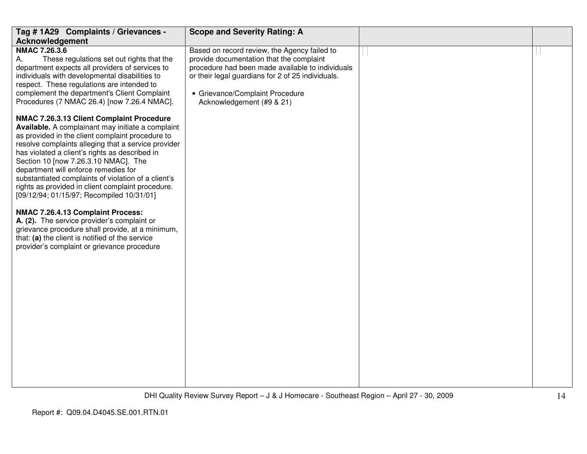| Tag #1A29 Complaints / Grievances -                                                                                                                                                                                                                                                                                                                                                                                                                                                                                                                                                                                                                                                                                                            | <b>Scope and Severity Rating: A</b>                                                                                                                                                                                                                               |  |
|------------------------------------------------------------------------------------------------------------------------------------------------------------------------------------------------------------------------------------------------------------------------------------------------------------------------------------------------------------------------------------------------------------------------------------------------------------------------------------------------------------------------------------------------------------------------------------------------------------------------------------------------------------------------------------------------------------------------------------------------|-------------------------------------------------------------------------------------------------------------------------------------------------------------------------------------------------------------------------------------------------------------------|--|
| Acknowledgement                                                                                                                                                                                                                                                                                                                                                                                                                                                                                                                                                                                                                                                                                                                                |                                                                                                                                                                                                                                                                   |  |
| NMAC 7.26.3.6<br>А.<br>These regulations set out rights that the<br>department expects all providers of services to<br>individuals with developmental disabilities to<br>respect. These regulations are intended to<br>complement the department's Client Complaint<br>Procedures (7 NMAC 26.4) [now 7.26.4 NMAC].                                                                                                                                                                                                                                                                                                                                                                                                                             | Based on record review, the Agency failed to<br>provide documentation that the complaint<br>procedure had been made available to individuals<br>or their legal guardians for 2 of 25 individuals.<br>• Grievance/Complaint Procedure<br>Acknowledgement (#9 & 21) |  |
| NMAC 7.26.3.13 Client Complaint Procedure<br>Available. A complainant may initiate a complaint<br>as provided in the client complaint procedure to<br>resolve complaints alleging that a service provider<br>has violated a client's rights as described in<br>Section 10 [now 7.26.3.10 NMAC]. The<br>department will enforce remedies for<br>substantiated complaints of violation of a client's<br>rights as provided in client complaint procedure.<br>[09/12/94; 01/15/97; Recompiled 10/31/01]<br>NMAC 7.26.4.13 Complaint Process:<br>A. (2). The service provider's complaint or<br>grievance procedure shall provide, at a minimum,<br>that: (a) the client is notified of the service<br>provider's complaint or grievance procedure |                                                                                                                                                                                                                                                                   |  |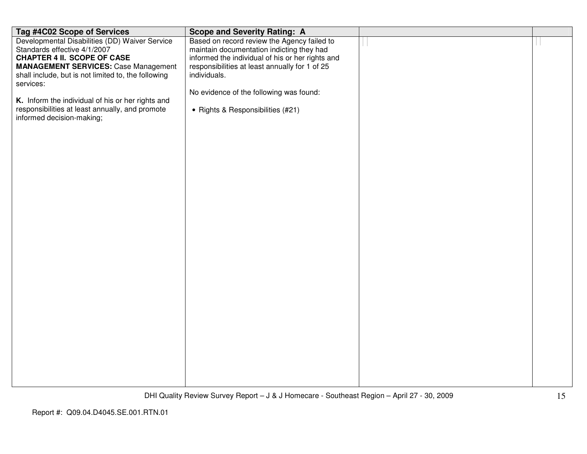| Tag #4C02 Scope of Services                                                                        | <b>Scope and Severity Rating: A</b>                            |  |
|----------------------------------------------------------------------------------------------------|----------------------------------------------------------------|--|
| Developmental Disabilities (DD) Waiver Service                                                     | Based on record review the Agency failed to                    |  |
| Standards effective 4/1/2007                                                                       | maintain documentation indicting they had                      |  |
| <b>CHAPTER 4 II. SCOPE OF CASE</b>                                                                 | informed the individual of his or her rights and               |  |
| <b>MANAGEMENT SERVICES: Case Management</b><br>shall include, but is not limited to, the following | responsibilities at least annually for 1 of 25<br>individuals. |  |
| services:                                                                                          |                                                                |  |
| K. Inform the individual of his or her rights and                                                  | No evidence of the following was found:                        |  |
| responsibilities at least annually, and promote                                                    | • Rights & Responsibilities (#21)                              |  |
| informed decision-making;                                                                          |                                                                |  |
|                                                                                                    |                                                                |  |
|                                                                                                    |                                                                |  |
|                                                                                                    |                                                                |  |
|                                                                                                    |                                                                |  |
|                                                                                                    |                                                                |  |
|                                                                                                    |                                                                |  |
|                                                                                                    |                                                                |  |
|                                                                                                    |                                                                |  |
|                                                                                                    |                                                                |  |
|                                                                                                    |                                                                |  |
|                                                                                                    |                                                                |  |
|                                                                                                    |                                                                |  |
|                                                                                                    |                                                                |  |
|                                                                                                    |                                                                |  |
|                                                                                                    |                                                                |  |
|                                                                                                    |                                                                |  |
|                                                                                                    |                                                                |  |
|                                                                                                    |                                                                |  |
|                                                                                                    |                                                                |  |
|                                                                                                    |                                                                |  |
|                                                                                                    |                                                                |  |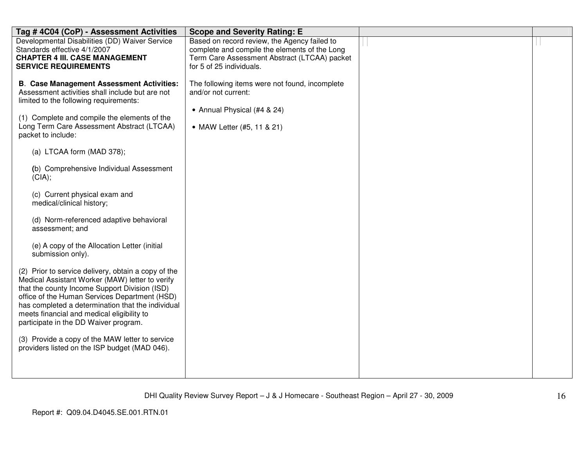| Tag #4C04 (CoP) - Assessment Activities                                                          | <b>Scope and Severity Rating: E</b>                                      |  |
|--------------------------------------------------------------------------------------------------|--------------------------------------------------------------------------|--|
| Developmental Disabilities (DD) Waiver Service                                                   | Based on record review, the Agency failed to                             |  |
| Standards effective 4/1/2007<br><b>CHAPTER 4 III. CASE MANAGEMENT</b>                            | complete and compile the elements of the Long                            |  |
| <b>SERVICE REQUIREMENTS</b>                                                                      | Term Care Assessment Abstract (LTCAA) packet<br>for 5 of 25 individuals. |  |
|                                                                                                  |                                                                          |  |
| <b>B. Case Management Assessment Activities:</b>                                                 | The following items were not found, incomplete                           |  |
| Assessment activities shall include but are not                                                  | and/or not current:                                                      |  |
| limited to the following requirements:                                                           |                                                                          |  |
|                                                                                                  | • Annual Physical (#4 & 24)                                              |  |
| (1) Complete and compile the elements of the<br>Long Term Care Assessment Abstract (LTCAA)       | • MAW Letter (#5, 11 & 21)                                               |  |
| packet to include:                                                                               |                                                                          |  |
|                                                                                                  |                                                                          |  |
| (a) LTCAA form (MAD 378);                                                                        |                                                                          |  |
|                                                                                                  |                                                                          |  |
| (b) Comprehensive Individual Assessment                                                          |                                                                          |  |
| (CIA);                                                                                           |                                                                          |  |
| (c) Current physical exam and                                                                    |                                                                          |  |
| medical/clinical history;                                                                        |                                                                          |  |
|                                                                                                  |                                                                          |  |
| (d) Norm-referenced adaptive behavioral                                                          |                                                                          |  |
| assessment; and                                                                                  |                                                                          |  |
| (e) A copy of the Allocation Letter (initial                                                     |                                                                          |  |
| submission only).                                                                                |                                                                          |  |
|                                                                                                  |                                                                          |  |
| (2) Prior to service delivery, obtain a copy of the                                              |                                                                          |  |
| Medical Assistant Worker (MAW) letter to verify                                                  |                                                                          |  |
| that the county Income Support Division (ISD)<br>office of the Human Services Department (HSD)   |                                                                          |  |
| has completed a determination that the individual                                                |                                                                          |  |
| meets financial and medical eligibility to                                                       |                                                                          |  |
| participate in the DD Waiver program.                                                            |                                                                          |  |
|                                                                                                  |                                                                          |  |
| (3) Provide a copy of the MAW letter to service<br>providers listed on the ISP budget (MAD 046). |                                                                          |  |
|                                                                                                  |                                                                          |  |
|                                                                                                  |                                                                          |  |
|                                                                                                  |                                                                          |  |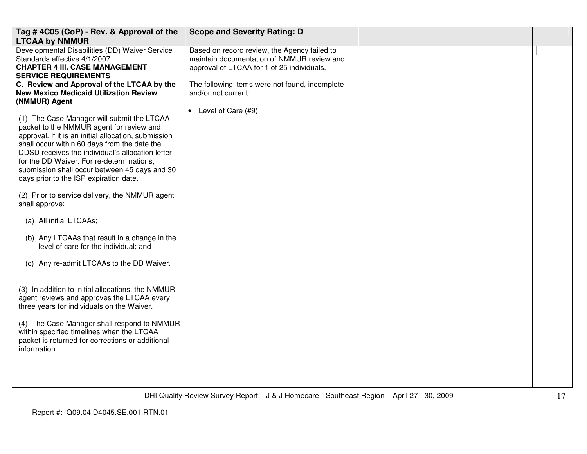| Tag #4C05 (CoP) - Rev. & Approval of the<br><b>LTCAA by NMMUR</b>                                                                                                                                                                                                                                                                                                                                                                                                                                                                                                                                                                                                    | <b>Scope and Severity Rating: D</b>                                                                                                                                                                                                       |  |
|----------------------------------------------------------------------------------------------------------------------------------------------------------------------------------------------------------------------------------------------------------------------------------------------------------------------------------------------------------------------------------------------------------------------------------------------------------------------------------------------------------------------------------------------------------------------------------------------------------------------------------------------------------------------|-------------------------------------------------------------------------------------------------------------------------------------------------------------------------------------------------------------------------------------------|--|
| Developmental Disabilities (DD) Waiver Service<br>Standards effective 4/1/2007<br><b>CHAPTER 4 III. CASE MANAGEMENT</b><br><b>SERVICE REQUIREMENTS</b><br>C. Review and Approval of the LTCAA by the<br><b>New Mexico Medicaid Utilization Review</b><br>(NMMUR) Agent<br>(1) The Case Manager will submit the LTCAA<br>packet to the NMMUR agent for review and<br>approval. If it is an initial allocation, submission<br>shall occur within 60 days from the date the<br>DDSD receives the individual's allocation letter<br>for the DD Waiver. For re-determinations,<br>submission shall occur between 45 days and 30<br>days prior to the ISP expiration date. | Based on record review, the Agency failed to<br>maintain documentation of NMMUR review and<br>approval of LTCAA for 1 of 25 individuals.<br>The following items were not found, incomplete<br>and/or not current:<br>• Level of Care (#9) |  |
| (2) Prior to service delivery, the NMMUR agent<br>shall approve:                                                                                                                                                                                                                                                                                                                                                                                                                                                                                                                                                                                                     |                                                                                                                                                                                                                                           |  |
| (a) All initial LTCAAs;                                                                                                                                                                                                                                                                                                                                                                                                                                                                                                                                                                                                                                              |                                                                                                                                                                                                                                           |  |
| (b) Any LTCAAs that result in a change in the<br>level of care for the individual; and                                                                                                                                                                                                                                                                                                                                                                                                                                                                                                                                                                               |                                                                                                                                                                                                                                           |  |
| (c) Any re-admit LTCAAs to the DD Waiver.                                                                                                                                                                                                                                                                                                                                                                                                                                                                                                                                                                                                                            |                                                                                                                                                                                                                                           |  |
| (3) In addition to initial allocations, the NMMUR<br>agent reviews and approves the LTCAA every<br>three years for individuals on the Waiver.                                                                                                                                                                                                                                                                                                                                                                                                                                                                                                                        |                                                                                                                                                                                                                                           |  |
| (4) The Case Manager shall respond to NMMUR<br>within specified timelines when the LTCAA<br>packet is returned for corrections or additional<br>information.                                                                                                                                                                                                                                                                                                                                                                                                                                                                                                         |                                                                                                                                                                                                                                           |  |
|                                                                                                                                                                                                                                                                                                                                                                                                                                                                                                                                                                                                                                                                      |                                                                                                                                                                                                                                           |  |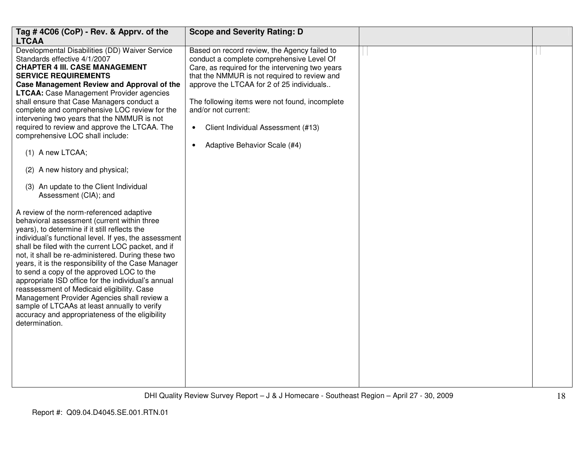| Tag #4C06 (CoP) - Rev. & Apprv. of the<br><b>LTCAA</b>                                                                                                                                                                                                                                                                                                                                                                                                                                                                                                                                                                                                                                                                                                                                                                                                                                                                                                                                                                                                                                                                                                                                                                                                                                                           | <b>Scope and Severity Rating: D</b>                                                                                                                                                                                                                                                                                                                                                                                |  |
|------------------------------------------------------------------------------------------------------------------------------------------------------------------------------------------------------------------------------------------------------------------------------------------------------------------------------------------------------------------------------------------------------------------------------------------------------------------------------------------------------------------------------------------------------------------------------------------------------------------------------------------------------------------------------------------------------------------------------------------------------------------------------------------------------------------------------------------------------------------------------------------------------------------------------------------------------------------------------------------------------------------------------------------------------------------------------------------------------------------------------------------------------------------------------------------------------------------------------------------------------------------------------------------------------------------|--------------------------------------------------------------------------------------------------------------------------------------------------------------------------------------------------------------------------------------------------------------------------------------------------------------------------------------------------------------------------------------------------------------------|--|
| Developmental Disabilities (DD) Waiver Service<br>Standards effective 4/1/2007<br><b>CHAPTER 4 III. CASE MANAGEMENT</b><br><b>SERVICE REQUIREMENTS</b><br>Case Management Review and Approval of the<br><b>LTCAA:</b> Case Management Provider agencies<br>shall ensure that Case Managers conduct a<br>complete and comprehensive LOC review for the<br>intervening two years that the NMMUR is not<br>required to review and approve the LTCAA. The<br>comprehensive LOC shall include:<br>(1) A new LTCAA;<br>(2) A new history and physical;<br>(3) An update to the Client Individual<br>Assessment (CIA); and<br>A review of the norm-referenced adaptive<br>behavioral assessment (current within three<br>years), to determine if it still reflects the<br>individual's functional level. If yes, the assessment<br>shall be filed with the current LOC packet, and if<br>not, it shall be re-administered. During these two<br>years, it is the responsibility of the Case Manager<br>to send a copy of the approved LOC to the<br>appropriate ISD office for the individual's annual<br>reassessment of Medicaid eligibility. Case<br>Management Provider Agencies shall review a<br>sample of LTCAAs at least annually to verify<br>accuracy and appropriateness of the eligibility<br>determination. | Based on record review, the Agency failed to<br>conduct a complete comprehensive Level Of<br>Care, as required for the intervening two years<br>that the NMMUR is not required to review and<br>approve the LTCAA for 2 of 25 individuals<br>The following items were not found, incomplete<br>and/or not current:<br>Client Individual Assessment (#13)<br>$\bullet$<br>Adaptive Behavior Scale (#4)<br>$\bullet$ |  |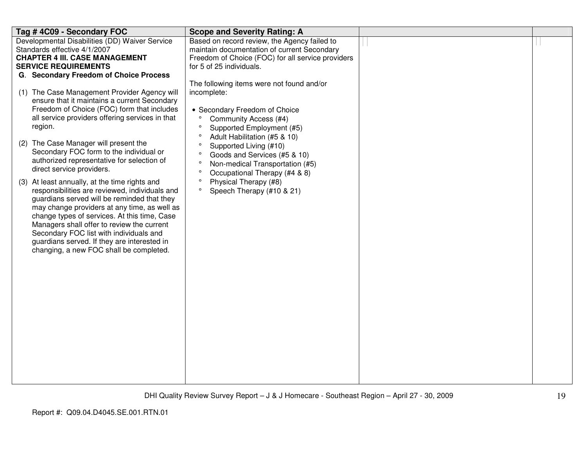| Tag #4C09 - Secondary FOC                                                                                                                                                                                                                                                                                                                                                                                                                                                                                                                                                                                                                                                                                                                                                                                       | <b>Scope and Severity Rating: A</b>                                                                                                                                                                                                                                                                                                                                                       |  |
|-----------------------------------------------------------------------------------------------------------------------------------------------------------------------------------------------------------------------------------------------------------------------------------------------------------------------------------------------------------------------------------------------------------------------------------------------------------------------------------------------------------------------------------------------------------------------------------------------------------------------------------------------------------------------------------------------------------------------------------------------------------------------------------------------------------------|-------------------------------------------------------------------------------------------------------------------------------------------------------------------------------------------------------------------------------------------------------------------------------------------------------------------------------------------------------------------------------------------|--|
| Developmental Disabilities (DD) Waiver Service                                                                                                                                                                                                                                                                                                                                                                                                                                                                                                                                                                                                                                                                                                                                                                  | Based on record review, the Agency failed to                                                                                                                                                                                                                                                                                                                                              |  |
| Standards effective 4/1/2007<br><b>CHAPTER 4 III. CASE MANAGEMENT</b>                                                                                                                                                                                                                                                                                                                                                                                                                                                                                                                                                                                                                                                                                                                                           | maintain documentation of current Secondary<br>Freedom of Choice (FOC) for all service providers                                                                                                                                                                                                                                                                                          |  |
| <b>SERVICE REQUIREMENTS</b>                                                                                                                                                                                                                                                                                                                                                                                                                                                                                                                                                                                                                                                                                                                                                                                     | for 5 of 25 individuals.                                                                                                                                                                                                                                                                                                                                                                  |  |
| G. Secondary Freedom of Choice Process                                                                                                                                                                                                                                                                                                                                                                                                                                                                                                                                                                                                                                                                                                                                                                          |                                                                                                                                                                                                                                                                                                                                                                                           |  |
| (1) The Case Management Provider Agency will<br>ensure that it maintains a current Secondary<br>Freedom of Choice (FOC) form that includes<br>all service providers offering services in that<br>region.<br>(2) The Case Manager will present the<br>Secondary FOC form to the individual or<br>authorized representative for selection of<br>direct service providers.<br>At least annually, at the time rights and<br>(3)<br>responsibilities are reviewed, individuals and<br>guardians served will be reminded that they<br>may change providers at any time, as well as<br>change types of services. At this time, Case<br>Managers shall offer to review the current<br>Secondary FOC list with individuals and<br>guardians served. If they are interested in<br>changing, a new FOC shall be completed. | The following items were not found and/or<br>incomplete:<br>• Secondary Freedom of Choice<br>Community Access (#4)<br>$\circ$<br>Supported Employment (#5)<br>Adult Habilitation (#5 & 10)<br>Supported Living (#10)<br>Goods and Services (#5 & 10)<br>Non-medical Transportation (#5)<br>Occupational Therapy (#4 & 8)<br>Physical Therapy (#8)<br>Speech Therapy (#10 & 21)<br>$\circ$ |  |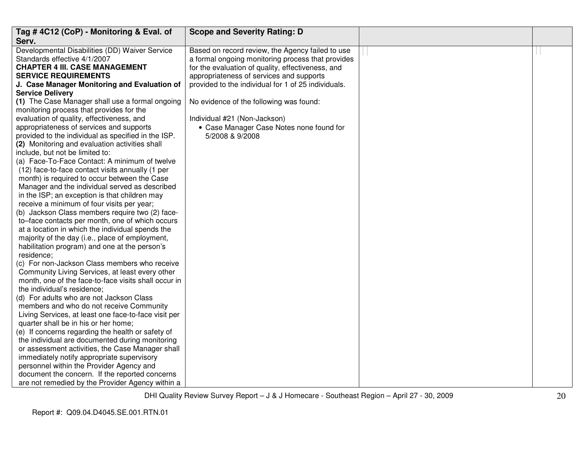| Tag #4C12 (CoP) - Monitoring & Eval. of                                                        | <b>Scope and Severity Rating: D</b>                 |  |
|------------------------------------------------------------------------------------------------|-----------------------------------------------------|--|
| Serv.                                                                                          |                                                     |  |
| Developmental Disabilities (DD) Waiver Service                                                 | Based on record review, the Agency failed to use    |  |
| Standards effective 4/1/2007                                                                   | a formal ongoing monitoring process that provides   |  |
| <b>CHAPTER 4 III. CASE MANAGEMENT</b>                                                          | for the evaluation of quality, effectiveness, and   |  |
| <b>SERVICE REQUIREMENTS</b>                                                                    | appropriateness of services and supports            |  |
| J. Case Manager Monitoring and Evaluation of                                                   | provided to the individual for 1 of 25 individuals. |  |
| <b>Service Delivery</b>                                                                        |                                                     |  |
| (1) The Case Manager shall use a formal ongoing                                                | No evidence of the following was found:             |  |
| monitoring process that provides for the                                                       |                                                     |  |
| evaluation of quality, effectiveness, and                                                      | Individual #21 (Non-Jackson)                        |  |
| appropriateness of services and supports                                                       | • Case Manager Case Notes none found for            |  |
| provided to the individual as specified in the ISP.                                            | 5/2008 & 9/2008                                     |  |
| (2) Monitoring and evaluation activities shall                                                 |                                                     |  |
| include, but not be limited to:                                                                |                                                     |  |
| (a) Face-To-Face Contact: A minimum of twelve                                                  |                                                     |  |
| (12) face-to-face contact visits annually (1 per                                               |                                                     |  |
| month) is required to occur between the Case<br>Manager and the individual served as described |                                                     |  |
| in the ISP; an exception is that children may                                                  |                                                     |  |
| receive a minimum of four visits per year;                                                     |                                                     |  |
| (b) Jackson Class members require two (2) face-                                                |                                                     |  |
| to-face contacts per month, one of which occurs                                                |                                                     |  |
| at a location in which the individual spends the                                               |                                                     |  |
| majority of the day (i.e., place of employment,                                                |                                                     |  |
| habilitation program) and one at the person's                                                  |                                                     |  |
| residence;                                                                                     |                                                     |  |
| (c) For non-Jackson Class members who receive                                                  |                                                     |  |
| Community Living Services, at least every other                                                |                                                     |  |
| month, one of the face-to-face visits shall occur in                                           |                                                     |  |
| the individual's residence;                                                                    |                                                     |  |
| (d) For adults who are not Jackson Class                                                       |                                                     |  |
| members and who do not receive Community                                                       |                                                     |  |
| Living Services, at least one face-to-face visit per                                           |                                                     |  |
| quarter shall be in his or her home;                                                           |                                                     |  |
| (e) If concerns regarding the health or safety of                                              |                                                     |  |
| the individual are documented during monitoring                                                |                                                     |  |
| or assessment activities, the Case Manager shall                                               |                                                     |  |
| immediately notify appropriate supervisory                                                     |                                                     |  |
| personnel within the Provider Agency and                                                       |                                                     |  |
| document the concern. If the reported concerns                                                 |                                                     |  |
| are not remedied by the Provider Agency within a                                               |                                                     |  |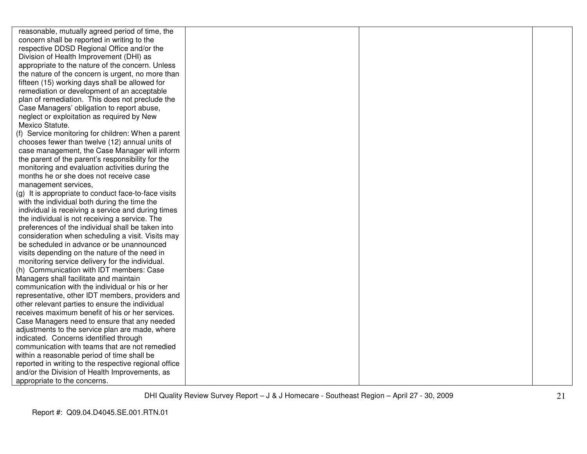reasonable, mutually agreed period of time, the concern shall be reported in writing to the respective DDSD Regional Office and/or the Division of Health Improvement (DHI) as appropriate to the nature of the concern. Unless the nature of the concern is urgent, no more than fifteen (15) working days shall be allowed for remediation or development of an acceptable plan of remediation. This does not preclude the Case Managers' obligation to report abuse, neglect or exploitation as required by New Mexico Statute. (f) Service monitoring for children: When a parentchooses fewer than twelve (12) annual units of case management, the Case Manager will inform the parent of the parent's responsibility for the monitoring and evaluation activities during the months he or she does not receive case management services, (g) It is appropriate to conduct face-to-face visits with the individual both during the time the individual is receiving a service and during times the individual is not receiving a service. The preferences of the individual shall be taken into consideration when scheduling a visit. Visits may be scheduled in advance or be unannounced visits depending on the nature of the need in

 monitoring service delivery for the individual. (h) Communication with IDT members: Case Managers shall facilitate and maintain communication with the individual or his or her representative, other IDT members, providers and other relevant parties to ensure the individual receives maximum benefit of his or her services. Case Managers need to ensure that any needed adjustments to the service plan are made, where indicated. Concerns identified through communication with teams that are not remedied within a reasonable period of time shall be reported in writing to the respective regional office and/or the Division of Health Improvements, as appropriate to the concerns.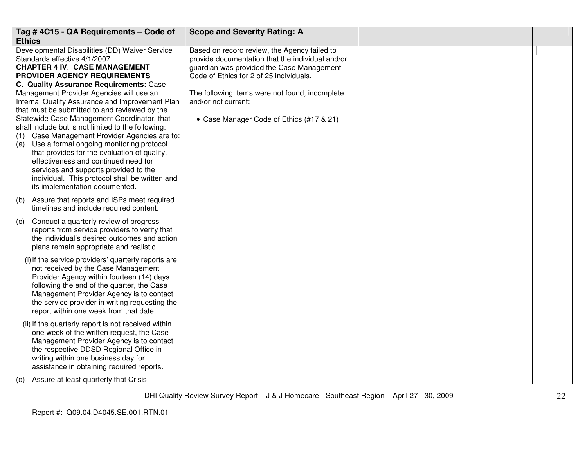| Tag #4C15 - QA Requirements - Code of                                                          | <b>Scope and Severity Rating: A</b>                                   |  |
|------------------------------------------------------------------------------------------------|-----------------------------------------------------------------------|--|
| <b>Ethics</b>                                                                                  |                                                                       |  |
| Developmental Disabilities (DD) Waiver Service                                                 | Based on record review, the Agency failed to                          |  |
| Standards effective 4/1/2007                                                                   | provide documentation that the individual and/or                      |  |
| <b>CHAPTER 4 IV. CASE MANAGEMENT</b>                                                           | guardian was provided the Case Management                             |  |
| PROVIDER AGENCY REQUIREMENTS                                                                   | Code of Ethics for 2 of 25 individuals.                               |  |
| C. Quality Assurance Requirements: Case<br>Management Provider Agencies will use an            |                                                                       |  |
| Internal Quality Assurance and Improvement Plan                                                | The following items were not found, incomplete<br>and/or not current: |  |
| that must be submitted to and reviewed by the                                                  |                                                                       |  |
| Statewide Case Management Coordinator, that                                                    | • Case Manager Code of Ethics (#17 & 21)                              |  |
| shall include but is not limited to the following:                                             |                                                                       |  |
| Case Management Provider Agencies are to:<br>(1)                                               |                                                                       |  |
| Use a formal ongoing monitoring protocol<br>(a)                                                |                                                                       |  |
| that provides for the evaluation of quality,                                                   |                                                                       |  |
| effectiveness and continued need for                                                           |                                                                       |  |
| services and supports provided to the                                                          |                                                                       |  |
| individual. This protocol shall be written and                                                 |                                                                       |  |
| its implementation documented.                                                                 |                                                                       |  |
| Assure that reports and ISPs meet required<br>(b)                                              |                                                                       |  |
| timelines and include required content.                                                        |                                                                       |  |
|                                                                                                |                                                                       |  |
| Conduct a quarterly review of progress<br>(c)<br>reports from service providers to verify that |                                                                       |  |
| the individual's desired outcomes and action                                                   |                                                                       |  |
| plans remain appropriate and realistic.                                                        |                                                                       |  |
|                                                                                                |                                                                       |  |
| (i) If the service providers' quarterly reports are                                            |                                                                       |  |
| not received by the Case Management                                                            |                                                                       |  |
| Provider Agency within fourteen (14) days                                                      |                                                                       |  |
| following the end of the quarter, the Case                                                     |                                                                       |  |
| Management Provider Agency is to contact                                                       |                                                                       |  |
| the service provider in writing requesting the<br>report within one week from that date.       |                                                                       |  |
|                                                                                                |                                                                       |  |
| (ii) If the quarterly report is not received within                                            |                                                                       |  |
| one week of the written request, the Case                                                      |                                                                       |  |
| Management Provider Agency is to contact                                                       |                                                                       |  |
| the respective DDSD Regional Office in                                                         |                                                                       |  |
| writing within one business day for                                                            |                                                                       |  |
| assistance in obtaining required reports.                                                      |                                                                       |  |
| Assure at least quarterly that Crisis<br>(d)                                                   |                                                                       |  |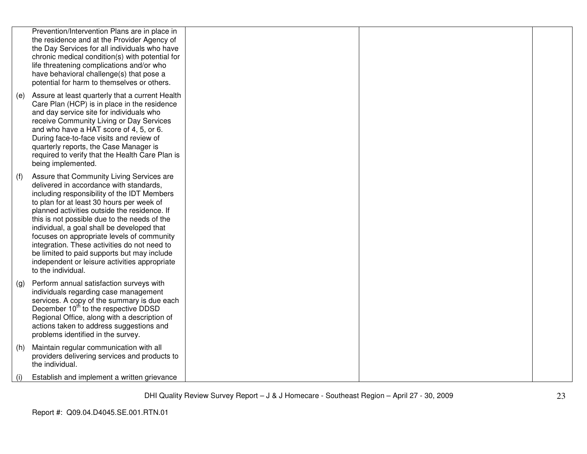|     | Prevention/Intervention Plans are in place in<br>the residence and at the Provider Agency of<br>the Day Services for all individuals who have<br>chronic medical condition(s) with potential for<br>life threatening complications and/or who<br>have behavioral challenge(s) that pose a<br>potential for harm to themselves or others.                                                                                                                                                                                                           |  |  |
|-----|----------------------------------------------------------------------------------------------------------------------------------------------------------------------------------------------------------------------------------------------------------------------------------------------------------------------------------------------------------------------------------------------------------------------------------------------------------------------------------------------------------------------------------------------------|--|--|
| (e) | Assure at least quarterly that a current Health<br>Care Plan (HCP) is in place in the residence<br>and day service site for individuals who<br>receive Community Living or Day Services<br>and who have a HAT score of 4, 5, or 6.<br>During face-to-face visits and review of<br>quarterly reports, the Case Manager is<br>required to verify that the Health Care Plan is<br>being implemented.                                                                                                                                                  |  |  |
| (f) | Assure that Community Living Services are<br>delivered in accordance with standards,<br>including responsibility of the IDT Members<br>to plan for at least 30 hours per week of<br>planned activities outside the residence. If<br>this is not possible due to the needs of the<br>individual, a goal shall be developed that<br>focuses on appropriate levels of community<br>integration. These activities do not need to<br>be limited to paid supports but may include<br>independent or leisure activities appropriate<br>to the individual. |  |  |
| (g) | Perform annual satisfaction surveys with<br>individuals regarding case management<br>services. A copy of the summary is due each<br>December 10 <sup>th</sup> to the respective DDSD<br>Regional Office, along with a description of<br>actions taken to address suggestions and<br>problems identified in the survey.                                                                                                                                                                                                                             |  |  |
| (h) | Maintain regular communication with all<br>providers delivering services and products to<br>the individual.                                                                                                                                                                                                                                                                                                                                                                                                                                        |  |  |
| (i) | Establish and implement a written grievance                                                                                                                                                                                                                                                                                                                                                                                                                                                                                                        |  |  |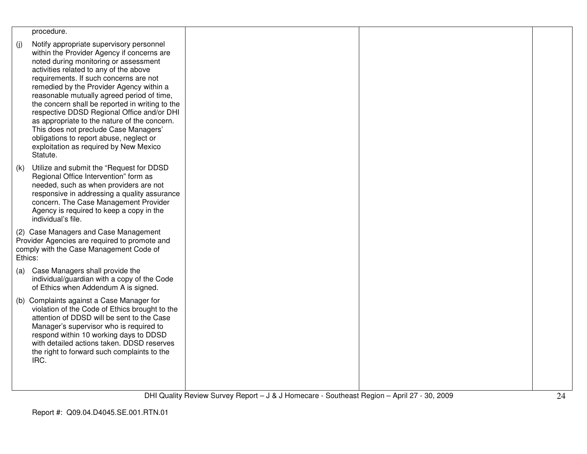| procedure.                                                                                                                                                                                                                                                                                                                                                                                                                                                                                                                                                                                                      |  |  |
|-----------------------------------------------------------------------------------------------------------------------------------------------------------------------------------------------------------------------------------------------------------------------------------------------------------------------------------------------------------------------------------------------------------------------------------------------------------------------------------------------------------------------------------------------------------------------------------------------------------------|--|--|
| (i)<br>Notify appropriate supervisory personnel<br>within the Provider Agency if concerns are<br>noted during monitoring or assessment<br>activities related to any of the above<br>requirements. If such concerns are not<br>remedied by the Provider Agency within a<br>reasonable mutually agreed period of time,<br>the concern shall be reported in writing to the<br>respective DDSD Regional Office and/or DHI<br>as appropriate to the nature of the concern.<br>This does not preclude Case Managers'<br>obligations to report abuse, neglect or<br>exploitation as required by New Mexico<br>Statute. |  |  |
| Utilize and submit the "Request for DDSD<br>(k)<br>Regional Office Intervention" form as<br>needed, such as when providers are not<br>responsive in addressing a quality assurance<br>concern. The Case Management Provider<br>Agency is required to keep a copy in the<br>individual's file.                                                                                                                                                                                                                                                                                                                   |  |  |
| (2) Case Managers and Case Management<br>Provider Agencies are required to promote and<br>comply with the Case Management Code of<br>Ethics:                                                                                                                                                                                                                                                                                                                                                                                                                                                                    |  |  |
| Case Managers shall provide the<br>(a)<br>individual/guardian with a copy of the Code<br>of Ethics when Addendum A is signed.                                                                                                                                                                                                                                                                                                                                                                                                                                                                                   |  |  |
| (b) Complaints against a Case Manager for<br>violation of the Code of Ethics brought to the<br>attention of DDSD will be sent to the Case<br>Manager's supervisor who is required to<br>respond within 10 working days to DDSD<br>with detailed actions taken. DDSD reserves<br>the right to forward such complaints to the<br>IRC.                                                                                                                                                                                                                                                                             |  |  |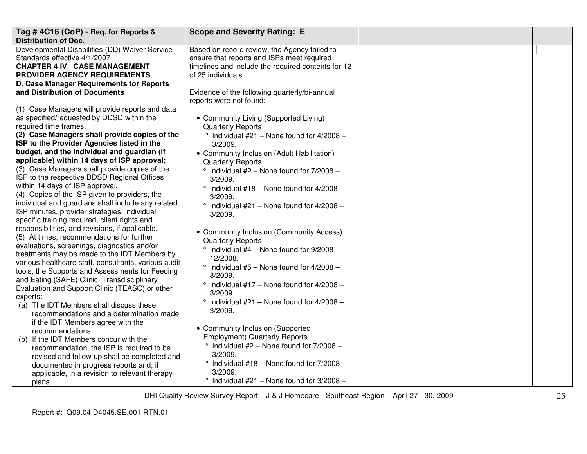| Tag #4C16 (CoP) - Req. for Reports &                                                         | <b>Scope and Severity Rating: E</b>                 |  |
|----------------------------------------------------------------------------------------------|-----------------------------------------------------|--|
| <b>Distribution of Doc.</b>                                                                  |                                                     |  |
| Developmental Disabilities (DD) Waiver Service                                               | Based on record review, the Agency failed to        |  |
| Standards effective 4/1/2007                                                                 | ensure that reports and ISPs meet required          |  |
| <b>CHAPTER 4 IV. CASE MANAGEMENT</b>                                                         | timelines and include the required contents for 12  |  |
| PROVIDER AGENCY REQUIREMENTS                                                                 | of 25 individuals.                                  |  |
| D. Case Manager Requirements for Reports                                                     |                                                     |  |
| and Distribution of Documents                                                                | Evidence of the following quarterly/bi-annual       |  |
|                                                                                              | reports were not found:                             |  |
| (1) Case Managers will provide reports and data                                              |                                                     |  |
| as specified/requested by DDSD within the                                                    | • Community Living (Supported Living)               |  |
| required time frames.                                                                        | <b>Quarterly Reports</b>                            |  |
| (2) Case Managers shall provide copies of the                                                | $\degree$ Individual #21 - None found for 4/2008 -  |  |
| ISP to the Provider Agencies listed in the                                                   | 3/2009.                                             |  |
| budget, and the individual and guardian (if                                                  | • Community Inclusion (Adult Habilitation)          |  |
| applicable) within 14 days of ISP approval;                                                  | <b>Quarterly Reports</b>                            |  |
| (3) Case Managers shall provide copies of the                                                | $^{\circ}$ Individual #2 - None found for 7/2008 -  |  |
| ISP to the respective DDSD Regional Offices                                                  | 3/2009.                                             |  |
| within 14 days of ISP approval.                                                              | ° Individual #18 - None found for 4/2008 -          |  |
| (4) Copies of the ISP given to providers, the                                                | 3/2009.                                             |  |
| individual and guardians shall include any related                                           | $^{\circ}$ Individual #21 - None found for 4/2008 - |  |
| ISP minutes, provider strategies, individual                                                 | 3/2009.                                             |  |
| specific training required, client rights and                                                |                                                     |  |
| responsibilities, and revisions, if applicable.<br>(5) At times, recommendations for further | • Community Inclusion (Community Access)            |  |
|                                                                                              | <b>Quarterly Reports</b>                            |  |
| evaluations, screenings, diagnostics and/or<br>treatments may be made to the IDT Members by  | $\degree$ Individual #4 - None found for 9/2008 -   |  |
| various healthcare staff, consultants, various audit                                         | 12/2008.                                            |  |
| tools, the Supports and Assessments for Feeding                                              | $^{\circ}$ Individual #5 - None found for 4/2008 -  |  |
| and Eating (SAFE) Clinic, Transdisciplinary                                                  | 3/2009.                                             |  |
| Evaluation and Support Clinic (TEASC) or other                                               | $^{\circ}$ Individual #17 - None found for 4/2008 - |  |
| experts:                                                                                     | 3/2009.                                             |  |
| (a) The IDT Members shall discuss these                                                      | $^{\circ}$ Individual #21 - None found for 4/2008 - |  |
| recommendations and a determination made                                                     | 3/2009.                                             |  |
| if the IDT Members agree with the                                                            |                                                     |  |
| recommendations.                                                                             | • Community Inclusion (Supported                    |  |
| (b) If the IDT Members concur with the                                                       | <b>Employment) Quarterly Reports</b>                |  |
| recommendation, the ISP is required to be                                                    | $\degree$ Individual #2 - None found for 7/2008 -   |  |
| revised and follow-up shall be completed and                                                 | 3/2009.                                             |  |
| documented in progress reports and, if                                                       | $\degree$ Individual #18 - None found for 7/2008 -  |  |
| applicable, in a revision to relevant therapy                                                | 3/2009.                                             |  |
| plans.                                                                                       | $\degree$ Individual #21 - None found for 3/2008 -  |  |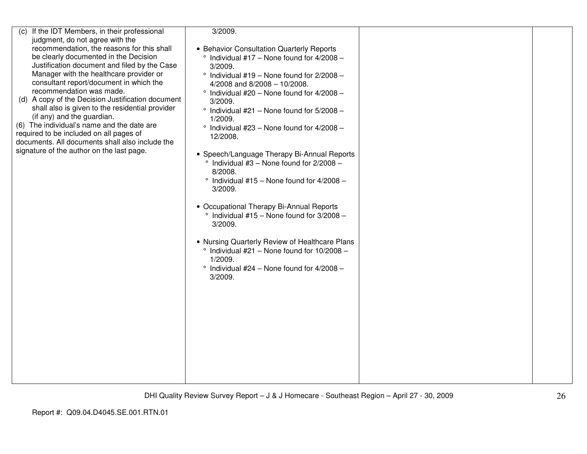| (c) If the IDT Members, in their professional     | 3/2009.                                              |  |
|---------------------------------------------------|------------------------------------------------------|--|
| judgment, do not agree with the                   |                                                      |  |
| recommendation, the reasons for this shall        | • Behavior Consultation Quarterly Reports            |  |
| be clearly documented in the Decision             | $\degree$ Individual #17 - None found for 4/2008 -   |  |
| Justification document and filed by the Case      | 3/2009.                                              |  |
| Manager with the healthcare provider or           | $\degree$ Individual #19 - None found for 2/2008 -   |  |
| consultant report/document in which the           | 4/2008 and $8/2008 - 10/2008$ .                      |  |
| recommendation was made.                          |                                                      |  |
| (d) A copy of the Decision Justification document | $\degree$ Individual #20 - None found for 4/2008 -   |  |
| shall also is given to the residential provider   | 3/2009.                                              |  |
| (if any) and the guardian.                        | $^{\circ}$ Individual #21 - None found for 5/2008 -  |  |
| (6) The individual's name and the date are        | 1/2009.                                              |  |
| required to be included on all pages of           | $\degree$ Individual #23 - None found for 4/2008 -   |  |
| documents. All documents shall also include the   | 12/2008.                                             |  |
| signature of the author on the last page.         |                                                      |  |
|                                                   | • Speech/Language Therapy Bi-Annual Reports          |  |
|                                                   | $\degree$ Individual #3 - None found for 2/2008 -    |  |
|                                                   | 8/2008.                                              |  |
|                                                   | $\degree$ Individual #15 - None found for 4/2008 -   |  |
|                                                   | 3/2009.                                              |  |
|                                                   |                                                      |  |
|                                                   | • Occupational Therapy Bi-Annual Reports             |  |
|                                                   | $\degree$ Individual #15 - None found for 3/2008 -   |  |
|                                                   | 3/2009.                                              |  |
|                                                   |                                                      |  |
|                                                   | • Nursing Quarterly Review of Healthcare Plans       |  |
|                                                   | $^{\circ}$ Individual #21 - None found for 10/2008 - |  |
|                                                   | 1/2009.                                              |  |
|                                                   | $^{\circ}$ Individual #24 - None found for 4/2008 -  |  |
|                                                   | 3/2009.                                              |  |
|                                                   |                                                      |  |
|                                                   |                                                      |  |
|                                                   |                                                      |  |
|                                                   |                                                      |  |
|                                                   |                                                      |  |
|                                                   |                                                      |  |
|                                                   |                                                      |  |
|                                                   |                                                      |  |
|                                                   |                                                      |  |
|                                                   |                                                      |  |
|                                                   |                                                      |  |
|                                                   |                                                      |  |
|                                                   |                                                      |  |